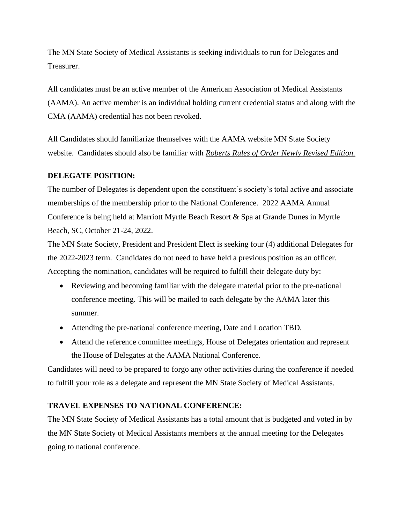The MN State Society of Medical Assistants is seeking individuals to run for Delegates and Treasurer.

All candidates must be an active member of the American Association of Medical Assistants (AAMA). An active member is an individual holding current credential status and along with the CMA (AAMA) credential has not been revoked.

All Candidates should familiarize themselves with the AAMA website MN State Society website. Candidates should also be familiar with *Roberts Rules of Order Newly Revised Edition.*

## **DELEGATE POSITION:**

The number of Delegates is dependent upon the constituent's society's total active and associate memberships of the membership prior to the National Conference. 2022 AAMA Annual Conference is being held at Marriott Myrtle Beach Resort & Spa at Grande Dunes in Myrtle Beach, SC, October 21-24, 2022.

The MN State Society, President and President Elect is seeking four (4) additional Delegates for the 2022-2023 term. Candidates do not need to have held a previous position as an officer. Accepting the nomination, candidates will be required to fulfill their delegate duty by:

- Reviewing and becoming familiar with the delegate material prior to the pre-national conference meeting. This will be mailed to each delegate by the AAMA later this summer.
- Attending the pre-national conference meeting, Date and Location TBD.
- Attend the reference committee meetings, House of Delegates orientation and represent the House of Delegates at the AAMA National Conference.

Candidates will need to be prepared to forgo any other activities during the conference if needed to fulfill your role as a delegate and represent the MN State Society of Medical Assistants.

### **TRAVEL EXPENSES TO NATIONAL CONFERENCE:**

The MN State Society of Medical Assistants has a total amount that is budgeted and voted in by the MN State Society of Medical Assistants members at the annual meeting for the Delegates going to national conference.